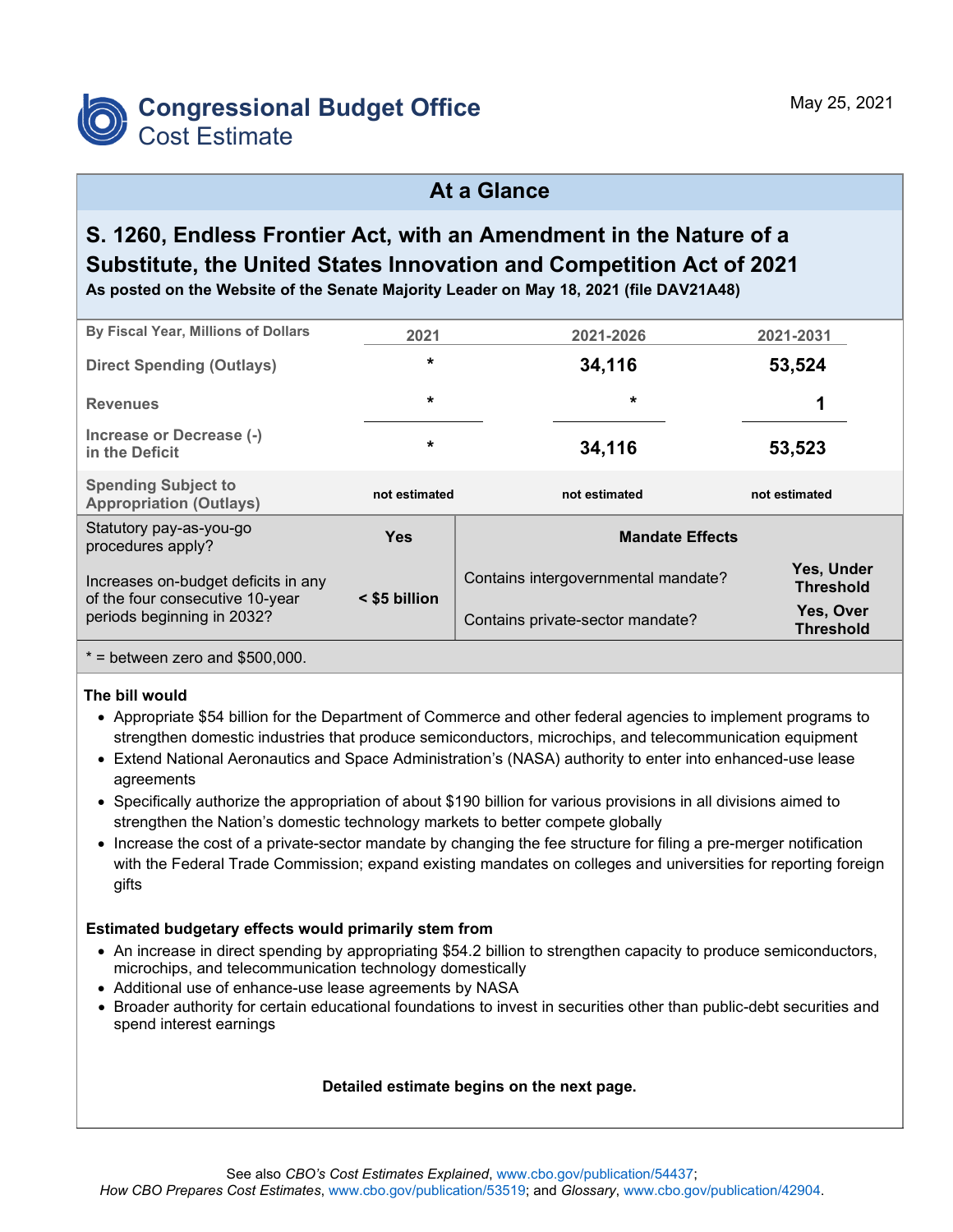

## **At a Glance**

# **S. 1260, Endless Frontier Act, with an Amendment in the Nature of a Substitute, the United States Innovation and Competition Act of 2021**

**As posted on the Website of the Senate Majority Leader on May 18, 2021 (file DAV21A48)**

| By Fiscal Year, Millions of Dollars                                    | 2021          | 2021-2026                           | 2021-2031                      |  |  |  |  |
|------------------------------------------------------------------------|---------------|-------------------------------------|--------------------------------|--|--|--|--|
| <b>Direct Spending (Outlays)</b>                                       | $\star$       | 34,116                              | 53,524                         |  |  |  |  |
| <b>Revenues</b>                                                        | $\star$       | $\star$                             | 1                              |  |  |  |  |
| Increase or Decrease (-)<br>in the Deficit                             | $\star$       | 34,116                              | 53,523                         |  |  |  |  |
| <b>Spending Subject to</b><br><b>Appropriation (Outlays)</b>           | not estimated | not estimated                       | not estimated                  |  |  |  |  |
| Statutory pay-as-you-go<br>procedures apply?                           | <b>Yes</b>    | <b>Mandate Effects</b>              |                                |  |  |  |  |
| Increases on-budget deficits in any<br>of the four consecutive 10-year | < \$5 billion | Contains intergovernmental mandate? | Yes, Under<br><b>Threshold</b> |  |  |  |  |
| periods beginning in 2032?                                             |               | Contains private-sector mandate?    | Yes, Over<br><b>Threshold</b>  |  |  |  |  |
|                                                                        |               |                                     |                                |  |  |  |  |

 $*$  = between zero and \$500,000.

#### **The bill would**

- Appropriate \$54 billion for the Department of Commerce and other federal agencies to implement programs to strengthen domestic industries that produce semiconductors, microchips, and telecommunication equipment
- Extend National Aeronautics and Space Administration's (NASA) authority to enter into enhanced-use lease agreements
- Specifically authorize the appropriation of about \$190 billion for various provisions in all divisions aimed to strengthen the Nation's domestic technology markets to better compete globally
- Increase the cost of a private-sector mandate by changing the fee structure for filing a pre-merger notification with the Federal Trade Commission; expand existing mandates on colleges and universities for reporting foreign gifts

#### **Estimated budgetary effects would primarily stem from**

- An increase in direct spending by appropriating \$54.2 billion to strengthen capacity to produce semiconductors, microchips, and telecommunication technology domestically
- Additional use of enhance-use lease agreements by NASA
- Broader authority for certain educational foundations to invest in securities other than public-debt securities and spend interest earnings

#### **Detailed estimate begins on the next page.**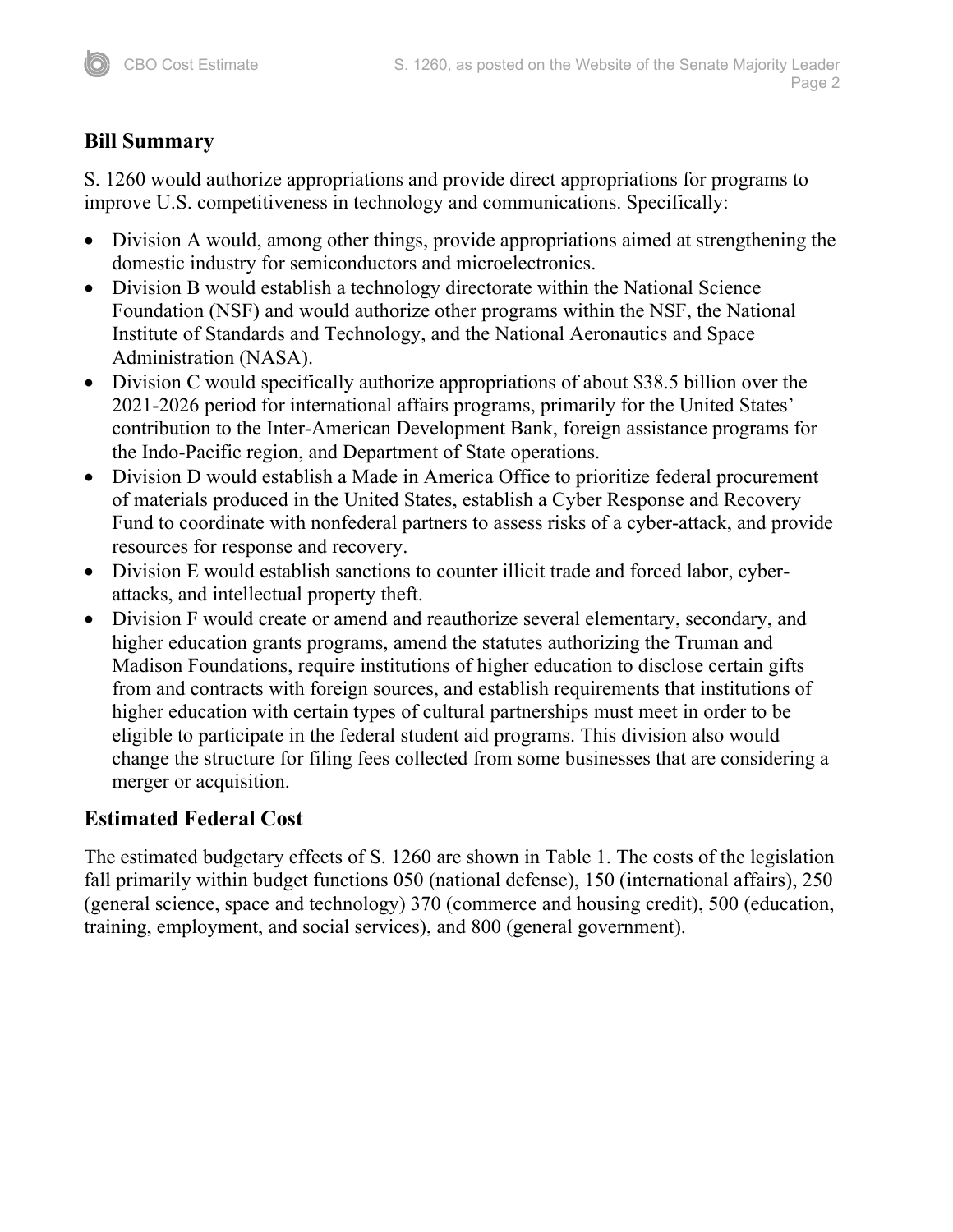## **Bill Summary**

S. 1260 would authorize appropriations and provide direct appropriations for programs to improve U.S. competitiveness in technology and communications. Specifically:

- Division A would, among other things, provide appropriations aimed at strengthening the domestic industry for semiconductors and microelectronics.
- Division B would establish a technology directorate within the National Science Foundation (NSF) and would authorize other programs within the NSF, the National Institute of Standards and Technology, and the National Aeronautics and Space Administration (NASA).
- Division C would specifically authorize appropriations of about \$38.5 billion over the 2021-2026 period for international affairs programs, primarily for the United States' contribution to the Inter-American Development Bank, foreign assistance programs for the Indo-Pacific region, and Department of State operations.
- Division D would establish a Made in America Office to prioritize federal procurement of materials produced in the United States, establish a Cyber Response and Recovery Fund to coordinate with nonfederal partners to assess risks of a cyber-attack, and provide resources for response and recovery.
- Division E would establish sanctions to counter illicit trade and forced labor, cyberattacks, and intellectual property theft.
- Division F would create or amend and reauthorize several elementary, secondary, and higher education grants programs, amend the statutes authorizing the Truman and Madison Foundations, require institutions of higher education to disclose certain gifts from and contracts with foreign sources, and establish requirements that institutions of higher education with certain types of cultural partnerships must meet in order to be eligible to participate in the federal student aid programs. This division also would change the structure for filing fees collected from some businesses that are considering a merger or acquisition.

## **Estimated Federal Cost**

The estimated budgetary effects of S. 1260 are shown in Table 1. The costs of the legislation fall primarily within budget functions 050 (national defense), 150 (international affairs), 250 (general science, space and technology) 370 (commerce and housing credit), 500 (education, training, employment, and social services), and 800 (general government).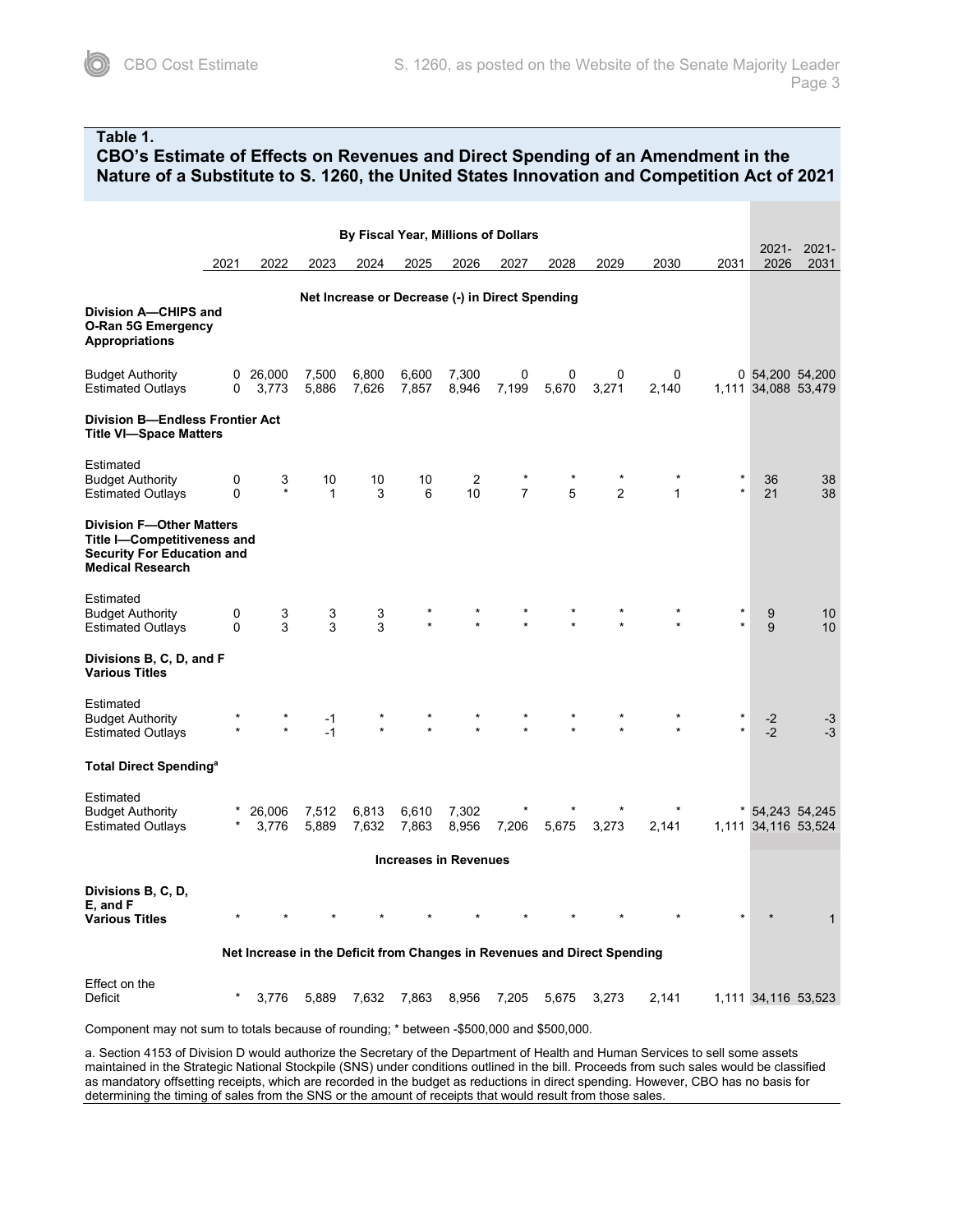#### **Table 1.**

#### **CBO's Estimate of Effects on Revenues and Direct Spending of an Amendment in the Nature of a Substitute to S. 1260, the United States Innovation and Competition Act of 2021**

| By Fiscal Year, Millions of Dollars                                                                                            |               |                          |                    |                |                |                      |                                                 |            |            |             |         |                  |                                        |
|--------------------------------------------------------------------------------------------------------------------------------|---------------|--------------------------|--------------------|----------------|----------------|----------------------|-------------------------------------------------|------------|------------|-------------|---------|------------------|----------------------------------------|
|                                                                                                                                | 2021          | 2022                     | 2023               | 2024           | 2025           | 2026                 | 2027                                            | 2028       | 2029       | 2030        | 2031    | $2021 -$<br>2026 | $2021 -$<br>2031                       |
| Division A-CHIPS and<br><b>O-Ran 5G Emergency</b><br><b>Appropriations</b>                                                     |               |                          |                    |                |                |                      | Net Increase or Decrease (-) in Direct Spending |            |            |             |         |                  |                                        |
| <b>Budget Authority</b><br><b>Estimated Outlays</b>                                                                            | 0             | $0\quad 26,000$<br>3,773 | 7,500<br>5,886     | 6,800<br>7,626 | 6,600<br>7,857 | 7,300<br>8,946       | 0<br>7,199                                      | 0<br>5,670 | 0<br>3,271 | 0<br>2,140  |         |                  | 0 54,200 54,200<br>1,111 34,088 53,479 |
| <b>Division B-Endless Frontier Act</b><br><b>Title VI-Space Matters</b>                                                        |               |                          |                    |                |                |                      |                                                 |            |            |             |         |                  |                                        |
| Estimated<br><b>Budget Authority</b><br><b>Estimated Outlays</b>                                                               | 0<br>0        | 3<br>$\star$             | 10<br>$\mathbf{1}$ | 10<br>3        | 10<br>6        | $\overline{2}$<br>10 | $\overline{7}$                                  | 5          | 2          | $\mathbf 1$ | $\star$ | 36<br>21         | 38<br>38                               |
| <b>Division F-Other Matters</b><br>Title I-Competitiveness and<br><b>Security For Education and</b><br><b>Medical Research</b> |               |                          |                    |                |                |                      |                                                 |            |            |             |         |                  |                                        |
| Estimated<br><b>Budget Authority</b><br><b>Estimated Outlays</b>                                                               | 0<br>$\Omega$ | 3<br>3                   | 3<br>3             | 3<br>3         |                |                      |                                                 |            |            |             | *       | 9<br>9           | 10<br>10                               |
| Divisions B, C, D, and F<br><b>Various Titles</b>                                                                              |               |                          |                    |                |                |                      |                                                 |            |            |             |         |                  |                                        |
| Estimated<br><b>Budget Authority</b><br><b>Estimated Outlays</b>                                                               |               |                          | -1<br>$-1$         |                |                |                      |                                                 |            |            |             |         | $-2$<br>$-2$     | $-3$<br>$-3$                           |
| <b>Total Direct Spending<sup>a</sup></b>                                                                                       |               |                          |                    |                |                |                      |                                                 |            |            |             |         |                  |                                        |
| Estimated<br><b>Budget Authority</b><br><b>Estimated Outlays</b>                                                               |               | 26,006<br>3,776          | 7,512<br>5,889     | 6,813<br>7,632 | 6,610<br>7,863 | 7,302<br>8,956       | 7,206                                           | 5,675      | 3,273      | 2,141       |         |                  | * 54,243 54,245<br>1,111 34,116 53,524 |
| <b>Increases in Revenues</b>                                                                                                   |               |                          |                    |                |                |                      |                                                 |            |            |             |         |                  |                                        |
| Divisions B, C, D,<br>E, and F<br><b>Various Titles</b>                                                                        |               |                          |                    |                |                |                      |                                                 |            |            |             |         |                  |                                        |
| Net Increase in the Deficit from Changes in Revenues and Direct Spending                                                       |               |                          |                    |                |                |                      |                                                 |            |            |             |         |                  |                                        |
| Effect on the<br>Deficit                                                                                                       |               | 3,776                    | 5,889              | 7,632          | 7,863          | 8,956                | 7,205                                           | 5,675      | 3,273      | 2,141       |         |                  | 1,111 34,116 53,523                    |

Component may not sum to totals because of rounding; \* between -\$500,000 and \$500,000.

a. Section 4153 of Division D would authorize the Secretary of the Department of Health and Human Services to sell some assets maintained in the Strategic National Stockpile (SNS) under conditions outlined in the bill. Proceeds from such sales would be classified as mandatory offsetting receipts, which are recorded in the budget as reductions in direct spending. However, CBO has no basis for determining the timing of sales from the SNS or the amount of receipts that would result from those sales.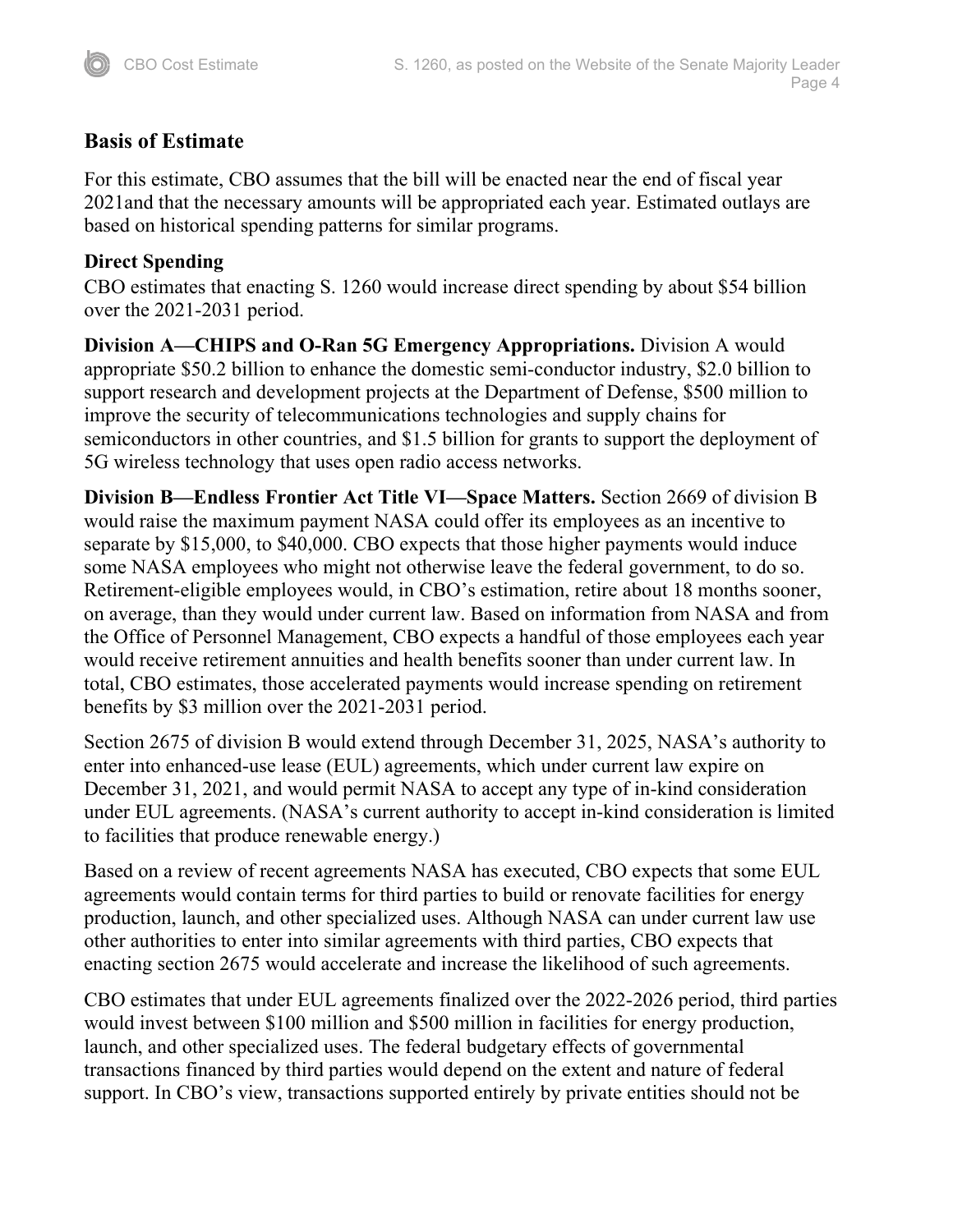## **Basis of Estimate**

For this estimate, CBO assumes that the bill will be enacted near the end of fiscal year 2021and that the necessary amounts will be appropriated each year. Estimated outlays are based on historical spending patterns for similar programs.

### **Direct Spending**

CBO estimates that enacting S. 1260 would increase direct spending by about \$54 billion over the 2021-2031 period.

**Division A—CHIPS and O-Ran 5G Emergency Appropriations.** Division A would appropriate \$50.2 billion to enhance the domestic semi-conductor industry, \$2.0 billion to support research and development projects at the Department of Defense, \$500 million to improve the security of telecommunications technologies and supply chains for semiconductors in other countries, and \$1.5 billion for grants to support the deployment of 5G wireless technology that uses open radio access networks.

**Division B—Endless Frontier Act Title VI—Space Matters.** Section 2669 of division B would raise the maximum payment NASA could offer its employees as an incentive to separate by \$15,000, to \$40,000. CBO expects that those higher payments would induce some NASA employees who might not otherwise leave the federal government, to do so. Retirement-eligible employees would, in CBO's estimation, retire about 18 months sooner, on average, than they would under current law. Based on information from NASA and from the Office of Personnel Management, CBO expects a handful of those employees each year would receive retirement annuities and health benefits sooner than under current law. In total, CBO estimates, those accelerated payments would increase spending on retirement benefits by \$3 million over the 2021-2031 period.

Section 2675 of division B would extend through December 31, 2025, NASA's authority to enter into enhanced-use lease (EUL) agreements, which under current law expire on December 31, 2021, and would permit NASA to accept any type of in-kind consideration under EUL agreements. (NASA's current authority to accept in-kind consideration is limited to facilities that produce renewable energy.)

Based on a review of recent agreements NASA has executed, CBO expects that some EUL agreements would contain terms for third parties to build or renovate facilities for energy production, launch, and other specialized uses. Although NASA can under current law use other authorities to enter into similar agreements with third parties, CBO expects that enacting section 2675 would accelerate and increase the likelihood of such agreements.

CBO estimates that under EUL agreements finalized over the 2022-2026 period, third parties would invest between \$100 million and \$500 million in facilities for energy production, launch, and other specialized uses. The federal budgetary effects of governmental transactions financed by third parties would depend on the extent and nature of federal support. In CBO's view, transactions supported entirely by private entities should not be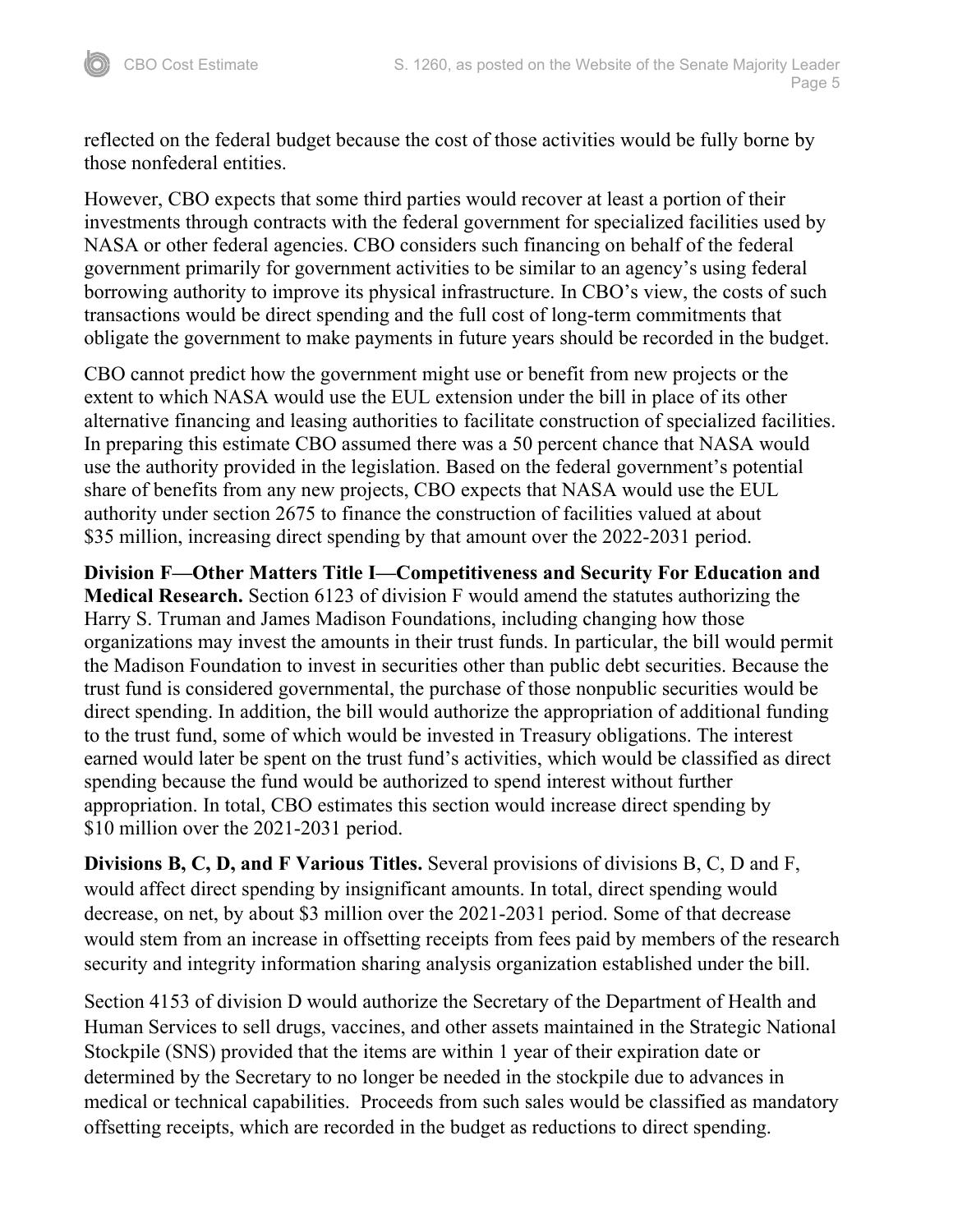reflected on the federal budget because the cost of those activities would be fully borne by those nonfederal entities.

However, CBO expects that some third parties would recover at least a portion of their investments through contracts with the federal government for specialized facilities used by NASA or other federal agencies. CBO considers such financing on behalf of the federal government primarily for government activities to be similar to an agency's using federal borrowing authority to improve its physical infrastructure. In CBO's view, the costs of such transactions would be direct spending and the full cost of long-term commitments that obligate the government to make payments in future years should be recorded in the budget.

CBO cannot predict how the government might use or benefit from new projects or the extent to which NASA would use the EUL extension under the bill in place of its other alternative financing and leasing authorities to facilitate construction of specialized facilities. In preparing this estimate CBO assumed there was a 50 percent chance that NASA would use the authority provided in the legislation. Based on the federal government's potential share of benefits from any new projects, CBO expects that NASA would use the EUL authority under section 2675 to finance the construction of facilities valued at about \$35 million, increasing direct spending by that amount over the 2022-2031 period.

**Division F—Other Matters Title I—Competitiveness and Security For Education and Medical Research.** Section 6123 of division F would amend the statutes authorizing the Harry S. Truman and James Madison Foundations, including changing how those organizations may invest the amounts in their trust funds. In particular, the bill would permit the Madison Foundation to invest in securities other than public debt securities. Because the trust fund is considered governmental, the purchase of those nonpublic securities would be direct spending. In addition, the bill would authorize the appropriation of additional funding to the trust fund, some of which would be invested in Treasury obligations. The interest earned would later be spent on the trust fund's activities, which would be classified as direct spending because the fund would be authorized to spend interest without further appropriation. In total, CBO estimates this section would increase direct spending by \$10 million over the 2021-2031 period.

**Divisions B, C, D, and F Various Titles.** Several provisions of divisions B, C, D and F, would affect direct spending by insignificant amounts. In total, direct spending would decrease, on net, by about \$3 million over the 2021-2031 period. Some of that decrease would stem from an increase in offsetting receipts from fees paid by members of the research security and integrity information sharing analysis organization established under the bill.

Section 4153 of division D would authorize the Secretary of the Department of Health and Human Services to sell drugs, vaccines, and other assets maintained in the Strategic National Stockpile (SNS) provided that the items are within 1 year of their expiration date or determined by the Secretary to no longer be needed in the stockpile due to advances in medical or technical capabilities. Proceeds from such sales would be classified as mandatory offsetting receipts, which are recorded in the budget as reductions to direct spending.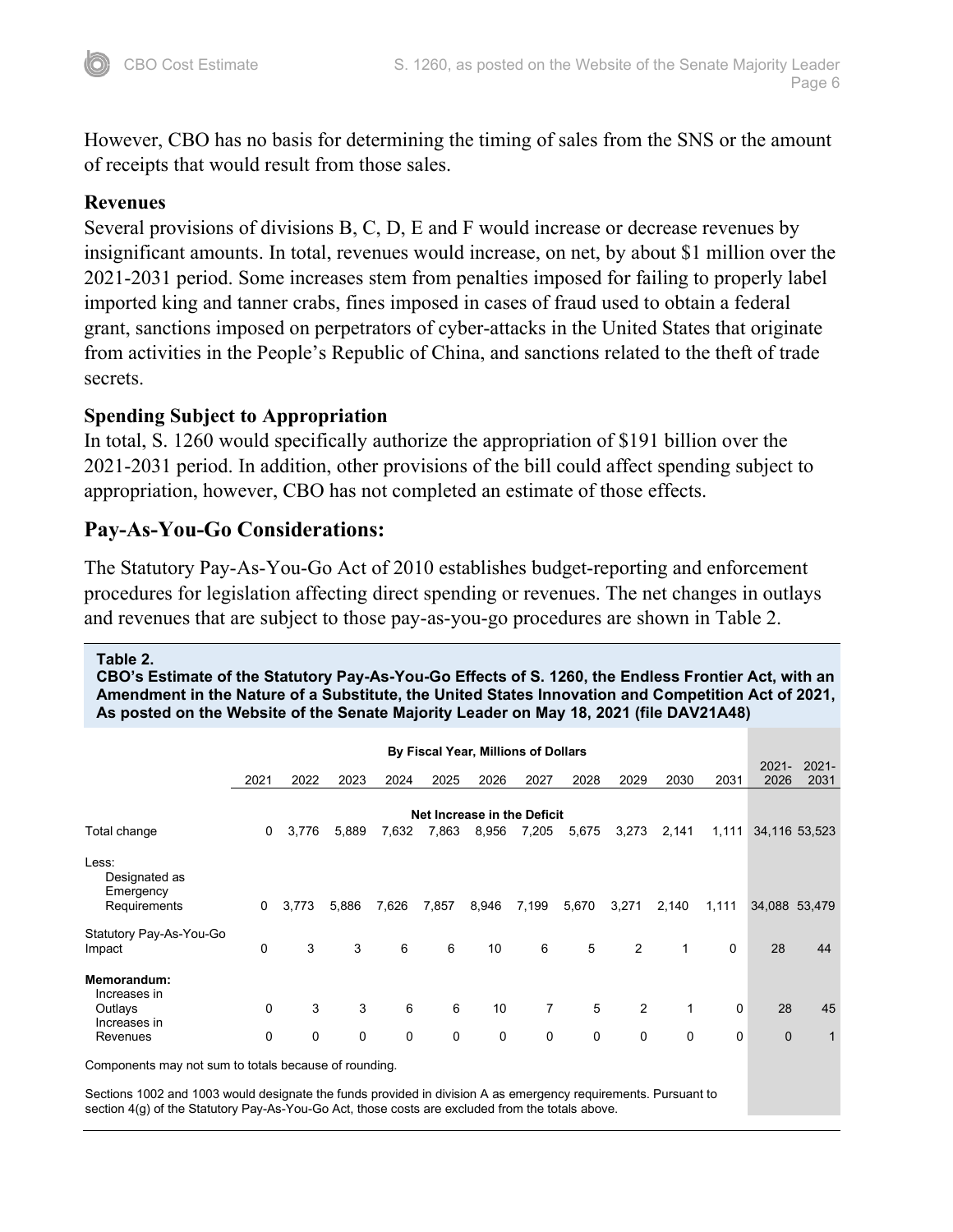However, CBO has no basis for determining the timing of sales from the SNS or the amount of receipts that would result from those sales.

### **Revenues**

Several provisions of divisions B, C, D, E and F would increase or decrease revenues by insignificant amounts. In total, revenues would increase, on net, by about \$1 million over the 2021-2031 period. Some increases stem from penalties imposed for failing to properly label imported king and tanner crabs, fines imposed in cases of fraud used to obtain a federal grant, sanctions imposed on perpetrators of cyber-attacks in the United States that originate from activities in the People's Republic of China, and sanctions related to the theft of trade secrets.

### **Spending Subject to Appropriation**

In total, S. 1260 would specifically authorize the appropriation of \$191 billion over the 2021-2031 period. In addition, other provisions of the bill could affect spending subject to appropriation, however, CBO has not completed an estimate of those effects.

### **Pay-As-You-Go Considerations:**

The Statutory Pay-As-You-Go Act of 2010 establishes budget-reporting and enforcement procedures for legislation affecting direct spending or revenues. The net changes in outlays and revenues that are subject to those pay-as-you-go procedures are shown in Table 2.

#### **Table 2.**

**CBO's Estimate of the Statutory Pay-As-You-Go Effects of S. 1260, the Endless Frontier Act, with an Amendment in the Nature of a Substitute, the United States Innovation and Competition Act of 2021, As posted on the Website of the Senate Majority Leader on May 18, 2021 (file DAV21A48)**

| By Fiscal Year, Millions of Dollars                              |                             |             |       |       |             |       |                |             |             |              |             |                  |                  |
|------------------------------------------------------------------|-----------------------------|-------------|-------|-------|-------------|-------|----------------|-------------|-------------|--------------|-------------|------------------|------------------|
|                                                                  | 2021                        | 2022        | 2023  | 2024  | 2025        | 2026  | 2027           | 2028        | 2029        | 2030         | 2031        | $2021 -$<br>2026 | $2021 -$<br>2031 |
|                                                                  | Net Increase in the Deficit |             |       |       |             |       |                |             |             |              |             |                  |                  |
| Total change                                                     | 0                           | 3,776       | 5,889 | 7,632 | 7,863       | 8,956 | 7,205          | 5,675       | 3,273       | 2,141        | 1,111       |                  | 34,116 53,523    |
| Less:<br>Designated as<br>Emergency<br>Requirements              | $\mathbf 0$                 | 3,773       | 5,886 | 7,626 | 7,857       | 8,946 | 7,199          | 5,670       | 3,271       | 2,140        | 1,111       | 34,088 53,479    |                  |
| Statutory Pay-As-You-Go<br>Impact                                | $\Omega$                    | 3           | 3     | 6     | 6           | 10    | 6              | 5           | 2           | 1            | 0           | 28               | 44               |
| Memorandum:<br>Increases in<br>Outlays<br>Increases in           | 0                           | 3           | 3     | 6     | 6           | 10    | $\overline{7}$ | 5           | 2           | $\mathbf{1}$ | $\mathbf 0$ | 28               | 45               |
| Revenues<br>Companente may not aum to totale booques of rounding | $\mathbf 0$                 | $\mathbf 0$ | 0     | 0     | $\mathbf 0$ | 0     | 0              | $\mathbf 0$ | $\mathbf 0$ | 0            | $\mathbf 0$ | $\mathbf 0$      | 1                |

Components may not sum to totals because of rounding.

Sections 1002 and 1003 would designate the funds provided in division A as emergency requirements. Pursuant to section 4(g) of the Statutory Pay-As-You-Go Act, those costs are excluded from the totals above.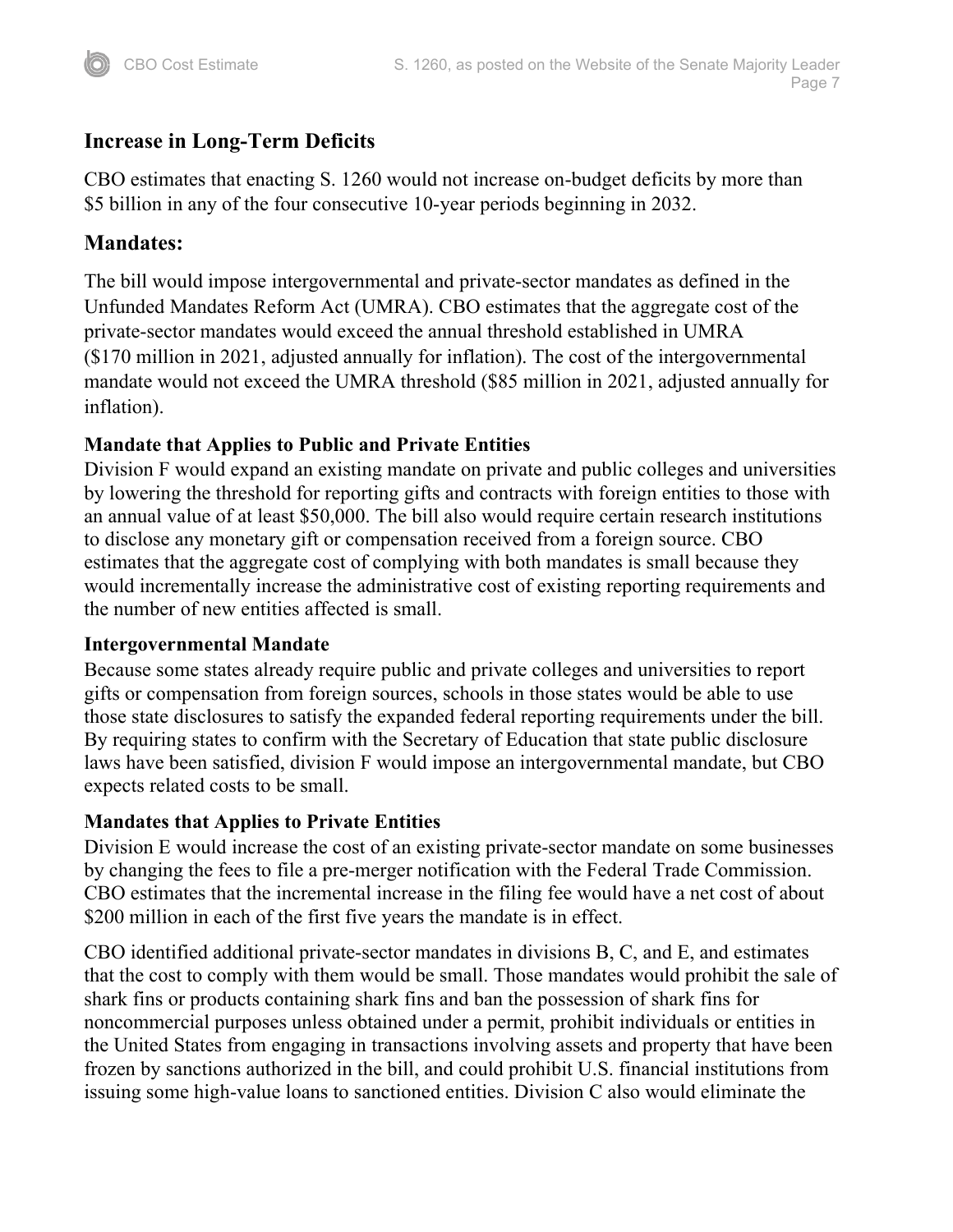## **Increase in Long-Term Deficits**

CBO estimates that enacting S. 1260 would not increase on-budget deficits by more than \$5 billion in any of the four consecutive 10-year periods beginning in 2032.

## **Mandates:**

The bill would impose intergovernmental and private-sector mandates as defined in the Unfunded Mandates Reform Act (UMRA). CBO estimates that the aggregate cost of the private-sector mandates would exceed the annual threshold established in UMRA (\$170 million in 2021, adjusted annually for inflation). The cost of the intergovernmental mandate would not exceed the UMRA threshold (\$85 million in 2021, adjusted annually for inflation).

### **Mandate that Applies to Public and Private Entities**

Division F would expand an existing mandate on private and public colleges and universities by lowering the threshold for reporting gifts and contracts with foreign entities to those with an annual value of at least \$50,000. The bill also would require certain research institutions to disclose any monetary gift or compensation received from a foreign source. CBO estimates that the aggregate cost of complying with both mandates is small because they would incrementally increase the administrative cost of existing reporting requirements and the number of new entities affected is small.

### **Intergovernmental Mandate**

Because some states already require public and private colleges and universities to report gifts or compensation from foreign sources, schools in those states would be able to use those state disclosures to satisfy the expanded federal reporting requirements under the bill. By requiring states to confirm with the Secretary of Education that state public disclosure laws have been satisfied, division F would impose an intergovernmental mandate, but CBO expects related costs to be small.

## **Mandates that Applies to Private Entities**

Division E would increase the cost of an existing private-sector mandate on some businesses by changing the fees to file a pre-merger notification with the Federal Trade Commission. CBO estimates that the incremental increase in the filing fee would have a net cost of about \$200 million in each of the first five years the mandate is in effect.

CBO identified additional private-sector mandates in divisions B, C, and E, and estimates that the cost to comply with them would be small. Those mandates would prohibit the sale of shark fins or products containing shark fins and ban the possession of shark fins for noncommercial purposes unless obtained under a permit, prohibit individuals or entities in the United States from engaging in transactions involving assets and property that have been frozen by sanctions authorized in the bill, and could prohibit U.S. financial institutions from issuing some high-value loans to sanctioned entities. Division C also would eliminate the